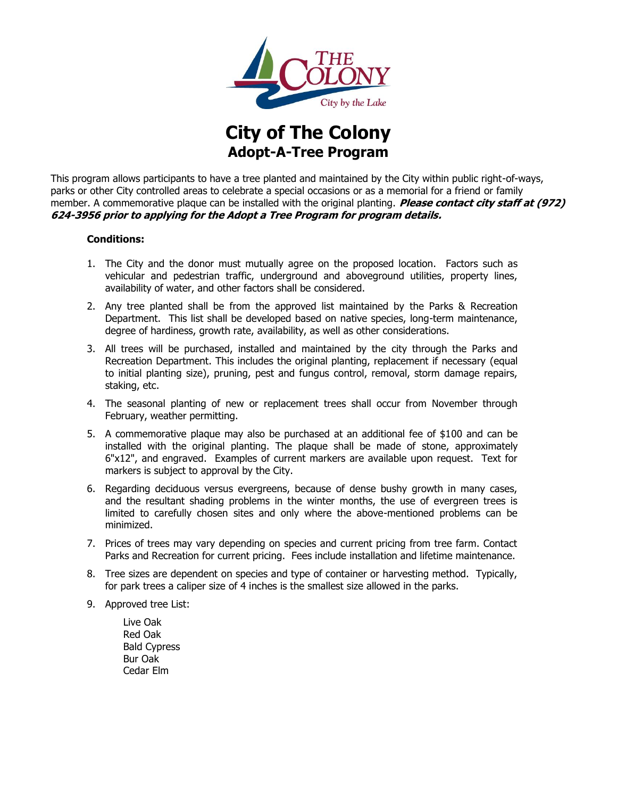

**City of The Colony Adopt-A-Tree Program**

This program allows participants to have a tree planted and maintained by the City within public right-of-ways, parks or other City controlled areas to celebrate a special occasions or as a memorial for a friend or family member. A commemorative plaque can be installed with the original planting. **Please contact city staff at (972) 624-3956 prior to applying for the Adopt a Tree Program for program details.**

#### **Conditions:**

- 1. The City and the donor must mutually agree on the proposed location. Factors such as vehicular and pedestrian traffic, underground and aboveground utilities, property lines, availability of water, and other factors shall be considered.
- 2. Any tree planted shall be from the approved list maintained by the Parks & Recreation Department. This list shall be developed based on native species, long-term maintenance, degree of hardiness, growth rate, availability, as well as other considerations.
- 3. All trees will be purchased, installed and maintained by the city through the Parks and Recreation Department. This includes the original planting, replacement if necessary (equal to initial planting size), pruning, pest and fungus control, removal, storm damage repairs, staking, etc.
- 4. The seasonal planting of new or replacement trees shall occur from November through February, weather permitting.
- 5. A commemorative plaque may also be purchased at an additional fee of \$100 and can be installed with the original planting. The plaque shall be made of stone, approximately 6"x12", and engraved. Examples of current markers are available upon request. Text for markers is subject to approval by the City.
- 6. Regarding deciduous versus evergreens, because of dense bushy growth in many cases, and the resultant shading problems in the winter months, the use of evergreen trees is limited to carefully chosen sites and only where the above-mentioned problems can be minimized.
- 7. Prices of trees may vary depending on species and current pricing from tree farm. Contact Parks and Recreation for current pricing. Fees include installation and lifetime maintenance.
- 8. Tree sizes are dependent on species and type of container or harvesting method. Typically, for park trees a caliper size of 4 inches is the smallest size allowed in the parks.
- 9. Approved tree List:
	- Live Oak Red Oak Bald Cypress Bur Oak Cedar Elm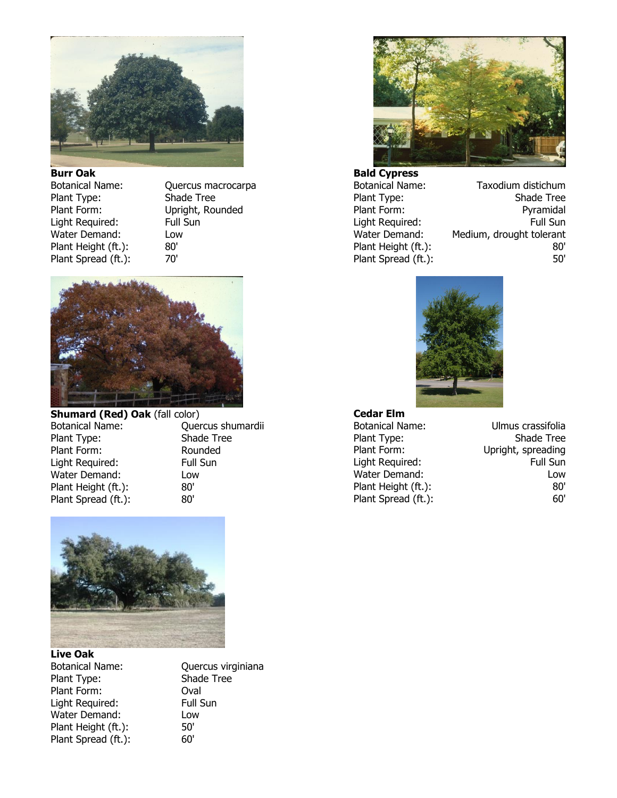

**Burr Oak** Plant Type: Shade Tree Light Required: Water Demand: Low Plant Height (ft.): 80' Plant Spread (ft.): 70'

Botanical Name: Quercus macrocarpa Plant Form: Upright, Rounded<br>
Light Required: Full Sun



**Shumard (Red) Oak** (fall color) Botanical Name: Quercus shumardii Plant Type: Shade Tree Plant Form: Rounded Light Required: Full Sun Water Demand: Low Plant Height (ft.): 80'<br>Plant Spread (ft.): 80' Plant Spread (ft.):



**Live Oak** Plant Type: Shade Tree Plant Form: **Oval** Light Required: Full Sun Water Demand: Low Plant Height (ft.): 50' Plant Spread (ft.): 60'

Botanical Name: Quercus virginiana



**Bald Cypress**

Botanical Name: Taxodium distichum Plant Type: Shade Tree Plant Form: Pyramidal Light Required: Full Sun Water Demand: Medium, drought tolerant Plant Height (ft.): 80' Plant Spread (ft.): 50'



# **Cedar Elm**

Plant Spread (ft.):

Botanical Name: Ulmus crassifolia Plant Type: Shade Tree Plant Form: Upright, spreading Light Required: Full Sun Water Demand: Low Plant Height (ft.):<br>Plant Spread (ft.): 80' (80'